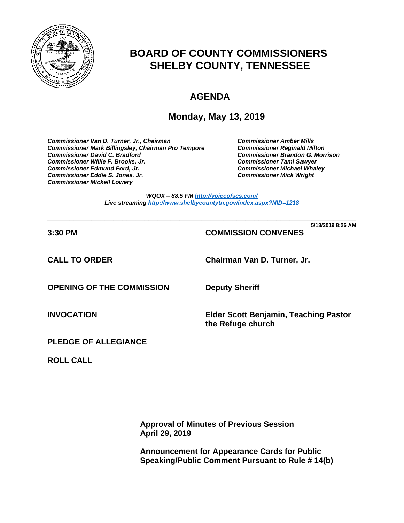

# **BOARD OF COUNTY COMMISSIONERS SHELBY COUNTY, TENNESSEE**

# **AGENDA**

## **Monday, May 13, 2019**

*Commissioner Van D. Turner, Jr., Chairman Commissioner Amber Mills*  **Commissioner Mark Billingsley, Chairman Pro Tempore** *Commissioner David C. Bradford Commissioner Brandon G. Morrison Commissioner Willie F. Brooks, Jr. Commissioner Tami Sawyer Commissioner Eddie S. Jones, Jr. Commissioner Mick Wright Commissioner Mickell Lowery*

**Commissioner Michael Whaley<br>Commissioner Mick Wright** 

*WQOX – 88.5 FM <http://voiceofscs.com/> Live streaming <http://www.shelbycountytn.gov/index.aspx?NID=1218>*

**\_\_\_\_\_\_\_\_\_\_\_\_\_\_\_\_\_\_\_\_\_\_\_\_\_\_\_\_\_\_\_\_\_\_\_\_\_\_\_\_\_\_\_\_\_\_\_\_\_\_\_\_\_\_\_\_\_\_\_\_\_\_\_\_\_\_\_\_\_\_ 5/13/2019 8:26 AM**

## **3:30 PM COMMISSION CONVENES**

**CALL TO ORDER Chairman Van D. Turner, Jr.**

**OPENING OF THE COMMISSION Deputy Sheriff**

**INVOCATION Elder Scott Benjamin, Teaching Pastor the Refuge church**

**PLEDGE OF ALLEGIANCE**

**ROLL CALL**

**Approval of Minutes of Previous Session April 29, 2019**

**Announcement for Appearance Cards for Public Speaking/Public Comment Pursuant to Rule # 14(b)**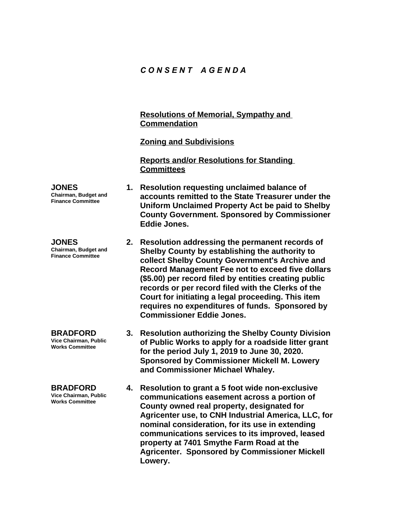### *C O N S E N T A G E N D A*

#### **Resolutions of Memorial, Sympathy and Commendation**

#### **Zoning and Subdivisions**

**Reports and/or Resolutions for Standing Committees**

- **1. Resolution requesting unclaimed balance of accounts remitted to the State Treasurer under the Uniform Unclaimed Property Act be paid to Shelby County Government. Sponsored by Commissioner Eddie Jones.**
	- **2. Resolution addressing the permanent records of Shelby County by establishing the authority to collect Shelby County Government's Archive and Record Management Fee not to exceed five dollars (\$5.00) per record filed by entities creating public records or per record filed with the Clerks of the Court for initiating a legal proceeding. This item requires no expenditures of funds. Sponsored by Commissioner Eddie Jones.**
		- **3. Resolution authorizing the Shelby County Division of Public Works to apply for a roadside litter grant for the period July 1, 2019 to June 30, 2020. Sponsored by Commissioner Mickell M. Lowery and Commissioner Michael Whaley.**
		- **4. Resolution to grant a 5 foot wide non-exclusive communications easement across a portion of County owned real property, designated for Agricenter use, to CNH Industrial America, LLC, for nominal consideration, for its use in extending communications services to its improved, leased property at 7401 Smythe Farm Road at the Agricenter. Sponsored by Commissioner Mickell Lowery.**

**JONES Chairman, Budget and Finance Committee**

**JONES Chairman, Budget and Finance Committee**

**BRADFORD Vice Chairman, Public Works Committee**

**BRADFORD Vice Chairman, Public Works Committee**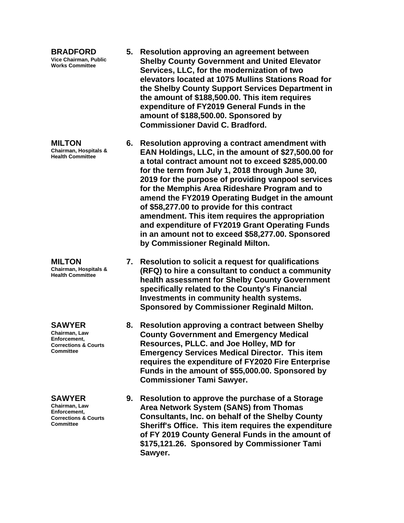**BRADFORD Vice Chairman, Public Works Committee**

**MILTON Chairman, Hospitals & Health Committee**

**MILTON Chairman, Hospitals & Health Committee**

**SAWYER Chairman, Law Enforcement, Corrections & Courts Committee**

#### **SAWYER**

**Chairman, Law Enforcement, Corrections & Courts Committee**

- **5. Resolution approving an agreement between Shelby County Government and United Elevator Services, LLC, for the modernization of two elevators located at 1075 Mullins Stations Road for the Shelby County Support Services Department in the amount of \$188,500.00. This item requires expenditure of FY2019 General Funds in the amount of \$188,500.00. Sponsored by Commissioner David C. Bradford.**
- **6. Resolution approving a contract amendment with EAN Holdings, LLC, in the amount of \$27,500.00 for a total contract amount not to exceed \$285,000.00 for the term from July 1, 2018 through June 30, 2019 for the purpose of providing vanpool services for the Memphis Area Rideshare Program and to amend the FY2019 Operating Budget in the amount of \$58,277.00 to provide for this contract amendment. This item requires the appropriation and expenditure of FY2019 Grant Operating Funds in an amount not to exceed \$58,277.00. Sponsored by Commissioner Reginald Milton.**
- **7. Resolution to solicit a request for qualifications (RFQ) to hire a consultant to conduct a community health assessment for Shelby County Government specifically related to the County's Financial Investments in community health systems. Sponsored by Commissioner Reginald Milton.**
- **8. Resolution approving a contract between Shelby County Government and Emergency Medical Resources, PLLC. and Joe Holley, MD for Emergency Services Medical Director. This item requires the expenditure of FY2020 Fire Enterprise Funds in the amount of \$55,000.00. Sponsored by Commissioner Tami Sawyer.**
- **9. Resolution to approve the purchase of a Storage Area Network System (SANS) from Thomas Consultants, Inc. on behalf of the Shelby County Sheriff's Office. This item requires the expenditure of FY 2019 County General Funds in the amount of \$175,121.26. Sponsored by Commissioner Tami Sawyer.**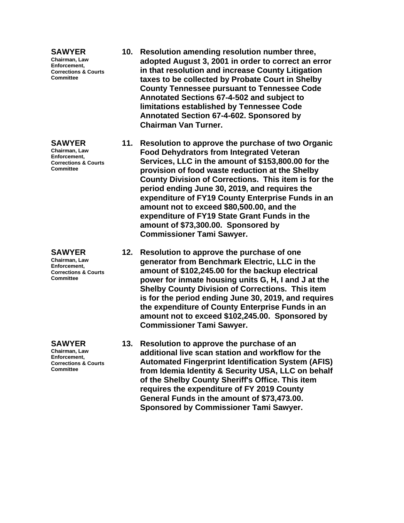#### **SAWYER**

**Chairman, Law Enforcement, Corrections & Courts Committee**

#### **SAWYER**

**Chairman, Law Enforcement, Corrections & Courts Committee**

**SAWYER Chairman, Law Enforcement, Corrections & Courts Committee**

**SAWYER Chairman, Law Enforcement, Corrections & Courts Committee**

- **10. Resolution amending resolution number three, adopted August 3, 2001 in order to correct an error in that resolution and increase County Litigation taxes to be collected by Probate Court in Shelby County Tennessee pursuant to Tennessee Code Annotated Sections 67-4-502 and subject to limitations established by Tennessee Code Annotated Section 67-4-602. Sponsored by Chairman Van Turner.**
- **11. Resolution to approve the purchase of two Organic Food Dehydrators from Integrated Veteran Services, LLC in the amount of \$153,800.00 for the provision of food waste reduction at the Shelby County Division of Corrections. This item is for the period ending June 30, 2019, and requires the expenditure of FY19 County Enterprise Funds in an amount not to exceed \$80,500.00, and the expenditure of FY19 State Grant Funds in the amount of \$73,300.00. Sponsored by Commissioner Tami Sawyer.**
- **12. Resolution to approve the purchase of one generator from Benchmark Electric, LLC in the amount of \$102,245.00 for the backup electrical power for inmate housing units G, H, I and J at the Shelby County Division of Corrections. This item is for the period ending June 30, 2019, and requires the expenditure of County Enterprise Funds in an amount not to exceed \$102,245.00. Sponsored by Commissioner Tami Sawyer.**
- **13. Resolution to approve the purchase of an additional live scan station and workflow for the Automated Fingerprint Identification System (AFIS) from Idemia Identity & Security USA, LLC on behalf of the Shelby County Sheriff's Office. This item requires the expenditure of FY 2019 County General Funds in the amount of \$73,473.00. Sponsored by Commissioner Tami Sawyer.**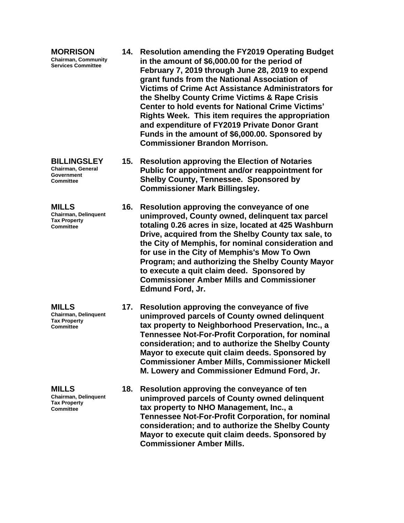**MORRISON Chairman, Community Services Committee**

**BILLINGSLEY Chairman, General Government Committee**

**MILLS Chairman, Delinquent Tax Property Committee**

**MILLS Chairman, Delinquent Tax Property** 

**Committee**

**MILLS Chairman, Delinquent Tax Property Committee**

- **14. Resolution amending the FY2019 Operating Budget in the amount of \$6,000.00 for the period of February 7, 2019 through June 28, 2019 to expend grant funds from the National Association of Victims of Crime Act Assistance Administrators for the Shelby County Crime Victims & Rape Crisis Center to hold events for National Crime Victims' Rights Week. This item requires the appropriation and expenditure of FY2019 Private Donor Grant Funds in the amount of \$6,000.00. Sponsored by Commissioner Brandon Morrison.**
- **15. Resolution approving the Election of Notaries Public for appointment and/or reappointment for Shelby County, Tennessee. Sponsored by Commissioner Mark Billingsley.**
	- **16. Resolution approving the conveyance of one unimproved, County owned, delinquent tax parcel totaling 0.26 acres in size, located at 425 Washburn Drive, acquired from the Shelby County tax sale, to the City of Memphis, for nominal consideration and for use in the City of Memphis's Mow To Own Program; and authorizing the Shelby County Mayor to execute a quit claim deed. Sponsored by Commissioner Amber Mills and Commissioner Edmund Ford, Jr.**
		- **17. Resolution approving the conveyance of five unimproved parcels of County owned delinquent tax property to Neighborhood Preservation, Inc., a Tennessee Not-For-Profit Corporation, for nominal consideration; and to authorize the Shelby County Mayor to execute quit claim deeds. Sponsored by Commissioner Amber Mills, Commissioner Mickell M. Lowery and Commissioner Edmund Ford, Jr.**
		- **18. Resolution approving the conveyance of ten unimproved parcels of County owned delinquent tax property to NHO Management, Inc., a Tennessee Not-For-Profit Corporation, for nominal consideration; and to authorize the Shelby County Mayor to execute quit claim deeds. Sponsored by Commissioner Amber Mills.**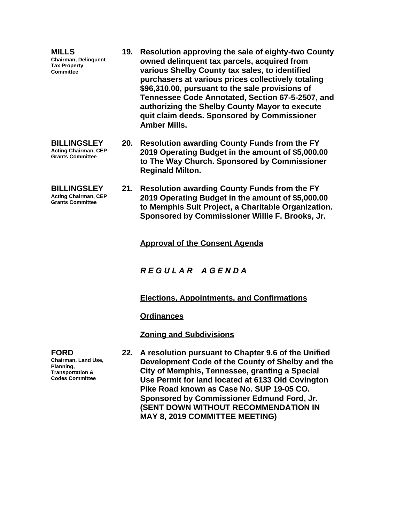**MILLS Chairman, Delinquent Tax Property Committee 19. Resolution approving the sale of eighty-two County owned delinquent tax parcels, acquired from various Shelby County tax sales, to identified purchasers at various prices collectively totaling \$96,310.00, pursuant to the sale provisions of Tennessee Code Annotated, Section 67-5-2507, and authorizing the Shelby County Mayor to execute quit claim deeds. Sponsored by Commissioner Amber Mills. BILLINGSLEY Acting Chairman, CEP Grants Committee 20. Resolution awarding County Funds from the FY 2019 Operating Budget in the amount of \$5,000.00** 

- **BILLINGSLEY Acting Chairman, CEP Grants Committee**
- **to The Way Church. Sponsored by Commissioner Reginald Milton.**
- **21. Resolution awarding County Funds from the FY 2019 Operating Budget in the amount of \$5,000.00 to Memphis Suit Project, a Charitable Organization. Sponsored by Commissioner Willie F. Brooks, Jr.**

**Approval of the Consent Agenda**

*R E G U L A R A G E N D A*

### **Elections, Appointments, and Confirmations**

**Ordinances**

**Zoning and Subdivisions**

**22. A resolution pursuant to Chapter 9.6 of the Unified Development Code of the County of Shelby and the City of Memphis, Tennessee, granting a Special Use Permit for land located at 6133 Old Covington Pike Road known as Case No. SUP 19-05 CO. Sponsored by Commissioner Edmund Ford, Jr. (SENT DOWN WITHOUT RECOMMENDATION IN MAY 8, 2019 COMMITTEE MEETING)**

**FORD Chairman, Land Use, Planning, Transportation & Codes Committee**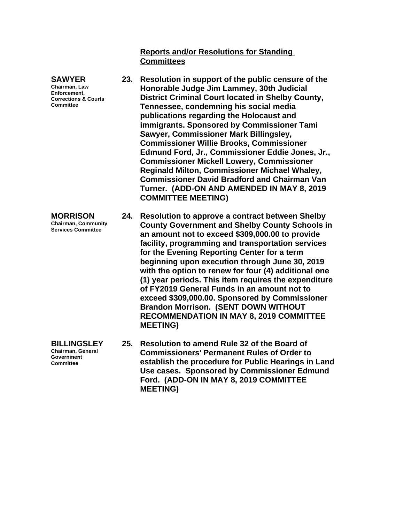**Reports and/or Resolutions for Standing Committees**

- **23. Resolution in support of the public censure of the Honorable Judge Jim Lammey, 30th Judicial District Criminal Court located in Shelby County, Tennessee, condemning his social media publications regarding the Holocaust and immigrants. Sponsored by Commissioner Tami Sawyer, Commissioner Mark Billingsley, Commissioner Willie Brooks, Commissioner Edmund Ford, Jr., Commissioner Eddie Jones, Jr., Commissioner Mickell Lowery, Commissioner Reginald Milton, Commissioner Michael Whaley, Commissioner David Bradford and Chairman Van Turner. (ADD-ON AND AMENDED IN MAY 8, 2019 COMMITTEE MEETING)**
- **24. Resolution to approve a contract between Shelby County Government and Shelby County Schools in an amount not to exceed \$309,000.00 to provide facility, programming and transportation services for the Evening Reporting Center for a term beginning upon execution through June 30, 2019 with the option to renew for four (4) additional one (1) year periods. This item requires the expenditure of FY2019 General Funds in an amount not to exceed \$309,000.00. Sponsored by Commissioner Brandon Morrison. (SENT DOWN WITHOUT RECOMMENDATION IN MAY 8, 2019 COMMITTEE MEETING)**
	- **25. Resolution to amend Rule 32 of the Board of Commissioners' Permanent Rules of Order to establish the procedure for Public Hearings in Land Use cases. Sponsored by Commissioner Edmund Ford. (ADD-ON IN MAY 8, 2019 COMMITTEE MEETING)**

**SAWYER Chairman, Law Enforcement, Corrections & Courts Committee**

**MORRISON Chairman, Community Services Committee**

**BILLINGSLEY Chairman, General Government Committee**